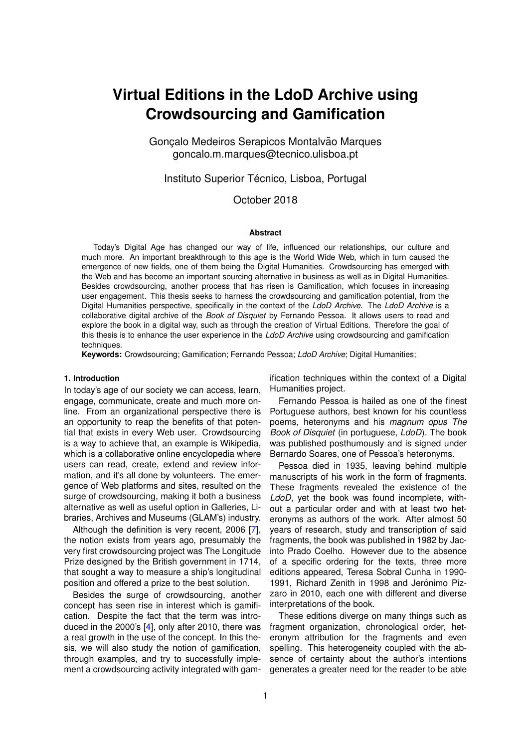# **Virtual Editions in the LdoD Archive using Crowdsourcing and Gamification**

Goncalo Medeiros Serapicos Montalvão Marques goncalo.m.marques@tecnico.ulisboa.pt

Instituto Superior Técnico, Lisboa, Portugal

## October 2018

#### **Abstract**

Today's Digital Age has changed our way of life, influenced our relationships, our culture and much more. An important breakthrough to this age is the World Wide Web, which in turn caused the emergence of new fields, one of them being the Digital Humanities. Crowdsourcing has emerged with the Web and has become an important sourcing alternative in business as well as in Digital Humanities. Besides crowdsourcing, another process that has risen is Gamification, which focuses in increasing user engagement. This thesis seeks to harness the crowdsourcing and gamification potential, from the Digital Humanities perspective, specifically in the context of the *LdoD Archive*. The *LdoD Archive* is a collaborative digital archive of the *Book of Disquiet* by Fernando Pessoa. It allows users to read and explore the book in a digital way, such as through the creation of Virtual Editions. Therefore the goal of this thesis is to enhance the user experience in the *LdoD Archive* using crowdsourcing and gamification techniques.

**Keywords:** Crowdsourcing; Gamification; Fernando Pessoa; *LdoD Archive*; Digital Humanities;

#### **1. Introduction**

In today's age of our society we can access, learn, engage, communicate, create and much more online. From an organizational perspective there is an opportunity to reap the benefits of that potential that exists in every Web user. Crowdsourcing is a way to achieve that, an example is Wikipedia, which is a collaborative online encyclopedia where users can read, create, extend and review information, and it's all done by volunteers. The emergence of Web platforms and sites, resulted on the surge of crowdsourcing, making it both a business alternative as well as useful option in Galleries, Libraries, Archives and Museums (GLAM's) industry.

Although the definition is very recent, 2006 [\[7\]](#page-9-0), the notion exists from years ago, presumably the very first crowdsourcing project was The Longitude Prize designed by the British government in 1714, that sought a way to measure a ship's longitudinal position and offered a prize to the best solution.

Besides the surge of crowdsourcing, another concept has seen rise in interest which is gamification. Despite the fact that the term was introduced in the 2000's [\[4\]](#page-9-1), only after 2010, there was a real growth in the use of the concept. In this thesis, we will also study the notion of gamification, through examples, and try to successfully implement a crowdsourcing activity integrated with gamification techniques within the context of a Digital Humanities project.

Fernando Pessoa is hailed as one of the finest Portuguese authors, best known for his countless poems, heteronyms and his *magnum opus The Book of Disquiet* (in portuguese, *LdoD*). The book was published posthumously and is signed under Bernardo Soares, one of Pessoa's heteronyms.

Pessoa died in 1935, leaving behind multiple manuscripts of his work in the form of fragments. These fragments revealed the existence of the *LdoD*, yet the book was found incomplete, without a particular order and with at least two heteronyms as authors of the work. After almost 50 years of research, study and transcription of said fragments, the book was published in 1982 by Jacinto Prado Coelho. However due to the absence of a specific ordering for the texts, three more editions appeared, Teresa Sobral Cunha in 1990- 1991, Richard Zenith in 1998 and Jerónimo Pizzaro in 2010, each one with different and diverse interpretations of the book.

These editions diverge on many things such as fragment organization, chronological order, heteronym attribution for the fragments and even spelling. This heterogeneity coupled with the absence of certainty about the author's intentions generates a greater need for the reader to be able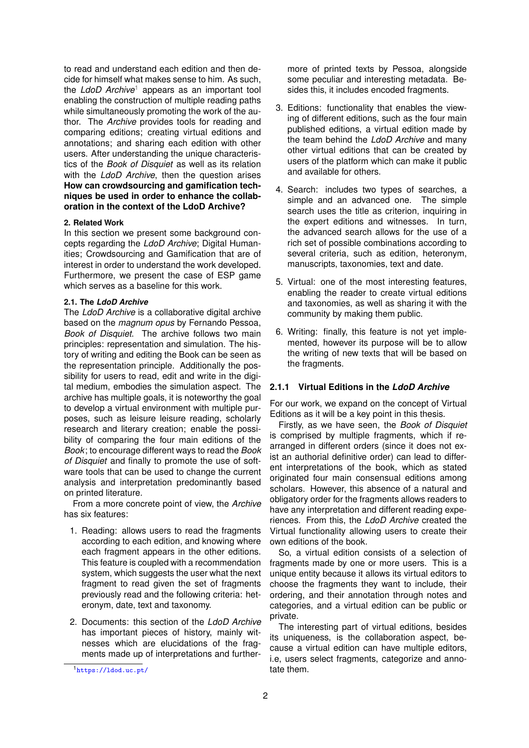to read and understand each edition and then decide for himself what makes sense to him. As such, the *LdoD Archive*[1](#page-1-0) appears as an important tool enabling the construction of multiple reading paths while simultaneously promoting the work of the author. The *Archive* provides tools for reading and comparing editions; creating virtual editions and annotations; and sharing each edition with other users. After understanding the unique characteristics of the *Book of Disquiet* as well as its relation with the *LdoD Archive*, then the question arises **How can crowdsourcing and gamification techniques be used in order to enhance the collaboration in the context of the LdoD Archive?**

## **2. Related Work**

In this section we present some background concepts regarding the *LdoD Archive*; Digital Humanities; Crowdsourcing and Gamification that are of interest in order to understand the work developed. Furthermore, we present the case of ESP game which serves as a baseline for this work.

#### **2.1. The** *LdoD Archive*

The *LdoD Archive* is a collaborative digital archive based on the *magnum opus* by Fernando Pessoa, *Book of Disquiet*. The archive follows two main principles: representation and simulation. The history of writing and editing the Book can be seen as the representation principle. Additionally the possibility for users to read, edit and write in the digital medium, embodies the simulation aspect. The archive has multiple goals, it is noteworthy the goal to develop a virtual environment with multiple purposes, such as leisure leisure reading, scholarly research and literary creation; enable the possibility of comparing the four main editions of the *Book*; to encourage different ways to read the *Book of Disquiet* and finally to promote the use of software tools that can be used to change the current analysis and interpretation predominantly based on printed literature.

From a more concrete point of view, the *Archive* has six features:

- 1. Reading: allows users to read the fragments according to each edition, and knowing where each fragment appears in the other editions. This feature is coupled with a recommendation system, which suggests the user what the next fragment to read given the set of fragments previously read and the following criteria: heteronym, date, text and taxonomy.
- 2. Documents: this section of the *LdoD Archive* has important pieces of history, mainly witnesses which are elucidations of the fragments made up of interpretations and further-

more of printed texts by Pessoa, alongside some peculiar and interesting metadata. Besides this, it includes encoded fragments.

- 3. Editions: functionality that enables the viewing of different editions, such as the four main published editions, a virtual edition made by the team behind the *LdoD Archive* and many other virtual editions that can be created by users of the platform which can make it public and available for others.
- 4. Search: includes two types of searches, a simple and an advanced one. The simple search uses the title as criterion, inquiring in the expert editions and witnesses. In turn, the advanced search allows for the use of a rich set of possible combinations according to several criteria, such as edition, heteronym, manuscripts, taxonomies, text and date.
- 5. Virtual: one of the most interesting features, enabling the reader to create virtual editions and taxonomies, as well as sharing it with the community by making them public.
- 6. Writing: finally, this feature is not yet implemented, however its purpose will be to allow the writing of new texts that will be based on the fragments.

## **2.1.1 Virtual Editions in the** *LdoD Archive*

For our work, we expand on the concept of Virtual Editions as it will be a key point in this thesis.

Firstly, as we have seen, the *Book of Disquiet* is comprised by multiple fragments, which if rearranged in different orders (since it does not exist an authorial definitive order) can lead to different interpretations of the book, which as stated originated four main consensual editions among scholars. However, this absence of a natural and obligatory order for the fragments allows readers to have any interpretation and different reading experiences. From this, the *LdoD Archive* created the Virtual functionality allowing users to create their own editions of the book.

So, a virtual edition consists of a selection of fragments made by one or more users. This is a unique entity because it allows its virtual editors to choose the fragments they want to include, their ordering, and their annotation through notes and categories, and a virtual edition can be public or private.

The interesting part of virtual editions, besides its uniqueness, is the collaboration aspect, because a virtual edition can have multiple editors, i.e, users select fragments, categorize and annotate them.

<span id="page-1-0"></span><sup>1</sup><https://ldod.uc.pt/>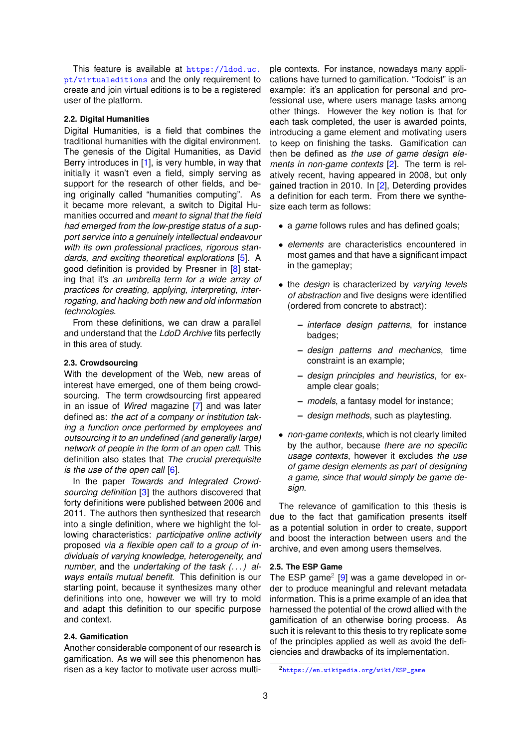This feature is available at [https://ldod.uc.](https://ldod.uc.pt/virtualeditions) [pt/virtualeditions](https://ldod.uc.pt/virtualeditions) and the only requirement to create and join virtual editions is to be a registered user of the platform.

#### **2.2. Digital Humanities**

Digital Humanities, is a field that combines the traditional humanities with the digital environment. The genesis of the Digital Humanities, as David Berry introduces in [\[1\]](#page-9-2), is very humble, in way that initially it wasn't even a field, simply serving as support for the research of other fields, and being originally called "humanities computing". As it became more relevant, a switch to Digital Humanities occurred and *meant to signal that the field had emerged from the low-prestige status of a support service into a genuinely intellectual endeavour with its own professional practices, rigorous standards, and exciting theoretical explorations* [\[5\]](#page-9-3). A good definition is provided by Presner in [\[8\]](#page-9-4) stating that it's *an umbrella term for a wide array of practices for creating, applying, interpreting, interrogating, and hacking both new and old information technologies.*

From these definitions, we can draw a parallel and understand that the *LdoD Archive* fits perfectly in this area of study.

#### **2.3. Crowdsourcing**

With the development of the Web, new areas of interest have emerged, one of them being crowdsourcing. The term crowdsourcing first appeared in an issue of *Wired* magazine [\[7\]](#page-9-0) and was later defined as: *the act of a company or institution taking a function once performed by employees and outsourcing it to an undefined (and generally large) network of people in the form of an open call*. This definition also states that *The crucial prerequisite is the use of the open call* [\[6\]](#page-9-5).

In the paper *Towards and Integrated Crowdsourcing definition* [\[3\]](#page-9-6) the authors discovered that forty definitions were published between 2006 and 2011. The authors then synthesized that research into a single definition, where we highlight the following characteristics: *participative online activity* proposed *via a flexible open call to a group of individuals of varying knowledge, heterogeneity, and number*, and the *undertaking of the task (. . . ) always entails mutual benefit*. This definition is our starting point, because it synthesizes many other definitions into one, however we will try to mold and adapt this definition to our specific purpose and context.

## **2.4. Gamification**

Another considerable component of our research is gamification. As we will see this phenomenon has risen as a key factor to motivate user across multi-

ple contexts. For instance, nowadays many applications have turned to gamification. "Todoist" is an example: it's an application for personal and professional use, where users manage tasks among other things. However the key notion is that for each task completed, the user is awarded points, introducing a game element and motivating users to keep on finishing the tasks. Gamification can then be defined as *the use of game design elements in non-game contexts* [\[2\]](#page-9-7). The term is relatively recent, having appeared in 2008, but only gained traction in 2010. In [\[2\]](#page-9-7), Deterding provides a definition for each term. From there we synthesize each term as follows:

- a *game* follows rules and has defined goals;
- *elements* are characteristics encountered in most games and that have a significant impact in the gameplay;
- the *design* is characterized by *varying levels of abstraction* and five designs were identified (ordered from concrete to abstract):
	- **–** *interface design patterns*, for instance badges;
	- **–** *design patterns and mechanics*, time constraint is an example;
	- **–** *design principles and heuristics*, for example clear goals:
	- **–** *models*, a fantasy model for instance;
	- **–** *design methods*, such as playtesting.
- *non-game contexts*, which is not clearly limited by the author, because *there are no specific usage contexts*, however it excludes *the use of game design elements as part of designing a game, since that would simply be game design*.

The relevance of gamification to this thesis is due to the fact that gamification presents itself as a potential solution in order to create, support and boost the interaction between users and the archive, and even among users themselves.

## **2.5. The ESP Game**

The ESP game<sup>[2](#page-2-0)</sup> [\[9\]](#page-9-8) was a game developed in order to produce meaningful and relevant metadata information. This is a prime example of an idea that harnessed the potential of the crowd allied with the gamification of an otherwise boring process. As such it is relevant to this thesis to try replicate some of the principles applied as well as avoid the deficiencies and drawbacks of its implementation.

<span id="page-2-0"></span><sup>2</sup>[https://en.wikipedia.org/wiki/ESP\\_game](https://en.wikipedia.org/wiki/ESP_game)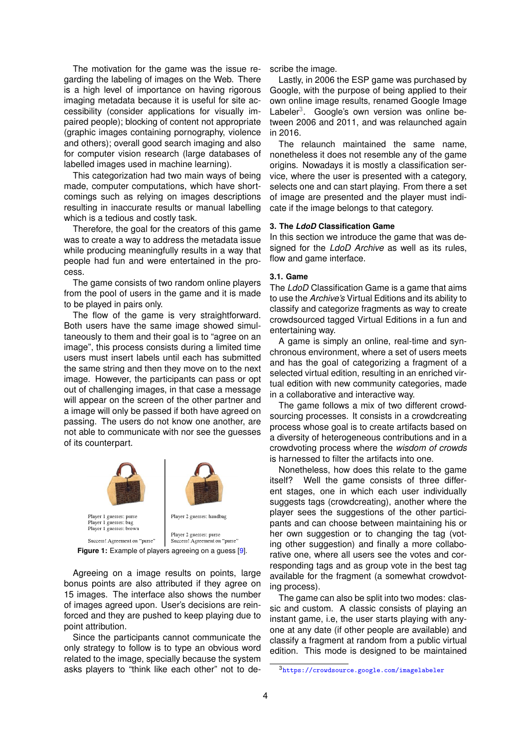The motivation for the game was the issue regarding the labeling of images on the Web. There is a high level of importance on having rigorous imaging metadata because it is useful for site accessibility (consider applications for visually impaired people); blocking of content not appropriate (graphic images containing pornography, violence and others); overall good search imaging and also for computer vision research (large databases of labelled images used in machine learning).

This categorization had two main ways of being made, computer computations, which have shortcomings such as relying on images descriptions resulting in inaccurate results or manual labelling which is a tedious and costly task.

Therefore, the goal for the creators of this game was to create a way to address the metadata issue while producing meaningfully results in a way that people had fun and were entertained in the process.

The game consists of two random online players from the pool of users in the game and it is made to be played in pairs only.

The flow of the game is very straightforward. Both users have the same image showed simultaneously to them and their goal is to "agree on an image", this process consists during a limited time users must insert labels until each has submitted the same string and then they move on to the next image. However, the participants can pass or opt out of challenging images, in that case a message will appear on the screen of the other partner and a image will only be passed if both have agreed on passing. The users do not know one another, are not able to communicate with nor see the guesses of its counterpart.



**Figure 1:** Example of players agreeing on a guess [\[9\]](#page-9-8).

Agreeing on a image results on points, large bonus points are also attributed if they agree on 15 images. The interface also shows the number of images agreed upon. User's decisions are reinforced and they are pushed to keep playing due to point attribution.

Since the participants cannot communicate the only strategy to follow is to type an obvious word related to the image, specially because the system asks players to "think like each other" not to describe the image.

Lastly, in 2006 the ESP game was purchased by Google, with the purpose of being applied to their own online image results, renamed Google Image Labeler<sup>[3](#page-3-0)</sup>. Google's own version was online between 2006 and 2011, and was relaunched again in 2016.

The relaunch maintained the same name, nonetheless it does not resemble any of the game origins. Nowadays it is mostly a classification service, where the user is presented with a category, selects one and can start playing. From there a set of image are presented and the player must indicate if the image belongs to that category.

#### **3. The** *LdoD* **Classification Game**

In this section we introduce the game that was designed for the *LdoD Archive* as well as its rules, flow and game interface.

#### **3.1. Game**

The *LdoD* Classification Game is a game that aims to use the *Archive's* Virtual Editions and its ability to classify and categorize fragments as way to create crowdsourced tagged Virtual Editions in a fun and entertaining way.

A game is simply an online, real-time and synchronous environment, where a set of users meets and has the goal of categorizing a fragment of a selected virtual edition, resulting in an enriched virtual edition with new community categories, made in a collaborative and interactive way.

The game follows a mix of two different crowdsourcing processes. It consists in a crowdcreating process whose goal is to create artifacts based on a diversity of heterogeneous contributions and in a crowdvoting process where the *wisdom of crowds* is harnessed to filter the artifacts into one.

Nonetheless, how does this relate to the game itself? Well the game consists of three different stages, one in which each user individually suggests tags (crowdcreating), another where the player sees the suggestions of the other participants and can choose between maintaining his or her own suggestion or to changing the tag (voting other suggestion) and finally a more collaborative one, where all users see the votes and corresponding tags and as group vote in the best tag available for the fragment (a somewhat crowdvoting process).

The game can also be split into two modes: classic and custom. A classic consists of playing an instant game, i.e, the user starts playing with anyone at any date (if other people are available) and classify a fragment at random from a public virtual edition. This mode is designed to be maintained

<span id="page-3-0"></span><sup>3</sup><https://crowdsource.google.com/imagelabeler>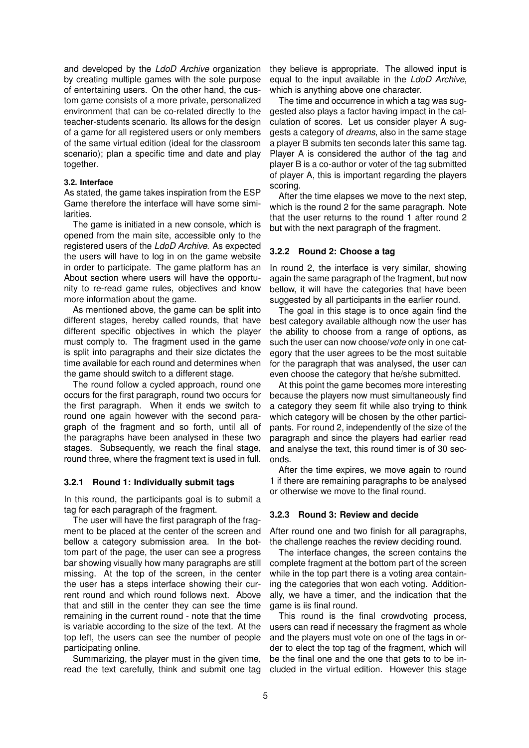and developed by the *LdoD Archive* organization by creating multiple games with the sole purpose of entertaining users. On the other hand, the custom game consists of a more private, personalized environment that can be co-related directly to the teacher-students scenario. Its allows for the design of a game for all registered users or only members of the same virtual edition (ideal for the classroom scenario); plan a specific time and date and play together.

#### **3.2. Interface**

As stated, the game takes inspiration from the ESP Game therefore the interface will have some similarities.

The game is initiated in a new console, which is opened from the main site, accessible only to the registered users of the *LdoD Archive*. As expected the users will have to log in on the game website in order to participate. The game platform has an About section where users will have the opportunity to re-read game rules, objectives and know more information about the game.

As mentioned above, the game can be split into different stages, hereby called rounds, that have different specific objectives in which the player must comply to. The fragment used in the game is split into paragraphs and their size dictates the time available for each round and determines when the game should switch to a different stage.

The round follow a cycled approach, round one occurs for the first paragraph, round two occurs for the first paragraph. When it ends we switch to round one again however with the second paragraph of the fragment and so forth, until all of the paragraphs have been analysed in these two stages. Subsequently, we reach the final stage, round three, where the fragment text is used in full.

### **3.2.1 Round 1: Individually submit tags**

In this round, the participants goal is to submit a tag for each paragraph of the fragment.

The user will have the first paragraph of the fragment to be placed at the center of the screen and bellow a category submission area. In the bottom part of the page, the user can see a progress bar showing visually how many paragraphs are still missing. At the top of the screen, in the center the user has a steps interface showing their current round and which round follows next. Above that and still in the center they can see the time remaining in the current round - note that the time is variable according to the size of the text. At the top left, the users can see the number of people participating online.

Summarizing, the player must in the given time, read the text carefully, think and submit one tag they believe is appropriate. The allowed input is equal to the input available in the *LdoD Archive*, which is anything above one character.

The time and occurrence in which a tag was suggested also plays a factor having impact in the calculation of scores. Let us consider player A suggests a category of *dreams*, also in the same stage a player B submits ten seconds later this same tag. Player A is considered the author of the tag and player B is a co-author or voter of the tag submitted of player A, this is important regarding the players scoring.

After the time elapses we move to the next step, which is the round 2 for the same paragraph. Note that the user returns to the round 1 after round 2 but with the next paragraph of the fragment.

## **3.2.2 Round 2: Choose a tag**

In round 2, the interface is very similar, showing again the same paragraph of the fragment, but now bellow, it will have the categories that have been suggested by all participants in the earlier round.

The goal in this stage is to once again find the best category available although now the user has the ability to choose from a range of options, as such the user can now choose/*vote* only in one category that the user agrees to be the most suitable for the paragraph that was analysed, the user can even choose the category that he/she submitted.

At this point the game becomes more interesting because the players now must simultaneously find a category they seem fit while also trying to think which category will be chosen by the other participants. For round 2, independently of the size of the paragraph and since the players had earlier read and analyse the text, this round timer is of 30 seconds.

After the time expires, we move again to round 1 if there are remaining paragraphs to be analysed or otherwise we move to the final round.

## **3.2.3 Round 3: Review and decide**

After round one and two finish for all paragraphs, the challenge reaches the review deciding round.

The interface changes, the screen contains the complete fragment at the bottom part of the screen while in the top part there is a voting area containing the categories that won each voting. Additionally, we have a timer, and the indication that the game is iis final round.

This round is the final crowdvoting process, users can read if necessary the fragment as whole and the players must vote on one of the tags in order to elect the top tag of the fragment, which will be the final one and the one that gets to to be included in the virtual edition. However this stage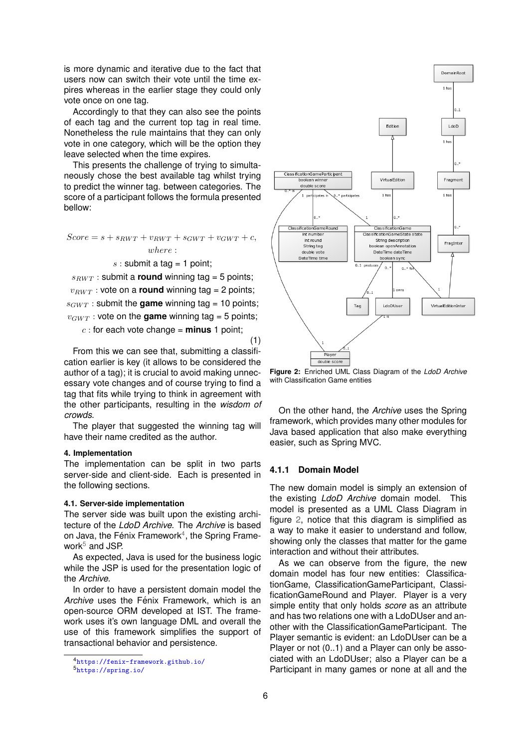is more dynamic and iterative due to the fact that users now can switch their vote until the time expires whereas in the earlier stage they could only vote once on one tag.

Accordingly to that they can also see the points of each tag and the current top tag in real time. Nonetheless the rule maintains that they can only vote in one category, which will be the option they leave selected when the time expires.

This presents the challenge of trying to simultaneously chose the best available tag whilst trying to predict the winner tag. between categories. The score of a participant follows the formula presented bellow:

$$
Score = s + s_{RWT} + v_{RWT} + s_{GWT} + v_{GWT} + c,
$$
  
where :

 $s:$  submit a tag = 1 point;

 $s_{RWT}$  : submit a **round** winning tag = 5 points;  $v_{RWT}$  : vote on a **round** winning tag = 2 points;  $s_{GWT}$  : submit the **game** winning tag = 10 points;  $v_{GWT}$ : vote on the **game** winning tag = 5 points;

 $c:$  for each vote change = **minus** 1 point;

(1)

From this we can see that, submitting a classification earlier is key (it allows to be considered the author of a tag); it is crucial to avoid making unnecessary vote changes and of course trying to find a tag that fits while trying to think in agreement with the other participants, resulting in the *wisdom of crowds*.

The player that suggested the winning tag will have their name credited as the author.

#### **4. Implementation**

The implementation can be split in two parts server-side and client-side. Each is presented in the following sections.

#### **4.1. Server-side implementation**

The server side was built upon the existing architecture of the *LdoD Archive*. The *Archive* is based on Java, the Fénix Framework $4$ , the Spring Framework $5$  and JSP.

As expected, Java is used for the business logic while the JSP is used for the presentation logic of the *Archive*.

In order to have a persistent domain model the *Archive* uses the Fénix Framework, which is an open-source ORM developed at IST. The framework uses it's own language DML and overall the use of this framework simplifies the support of transactional behavior and persistence.

<span id="page-5-2"></span>

**Figure 2:** Enriched UML Class Diagram of the *LdoD Archive* with Classification Game entities

On the other hand, the *Archive* uses the Spring framework, which provides many other modules for Java based application that also make everything easier, such as Spring MVC.

## **4.1.1 Domain Model**

The new domain model is simply an extension of the existing *LdoD Archive* domain model. This model is presented as a UML Class Diagram in figure [2,](#page-5-2) notice that this diagram is simplified as a way to make it easier to understand and follow, showing only the classes that matter for the game interaction and without their attributes.

As we can observe from the figure, the new domain model has four new entities: ClassificationGame, ClassificationGameParticipant, ClassificationGameRound and Player. Player is a very simple entity that only holds *score* as an attribute and has two relations one with a LdoDUser and another with the ClassificationGameParticipant. The Player semantic is evident: an LdoDUser can be a Player or not (0..1) and a Player can only be associated with an LdoDUser; also a Player can be a Participant in many games or none at all and the

<span id="page-5-0"></span><sup>4</sup><https://fenix-framework.github.io/>

<span id="page-5-1"></span><sup>5</sup><https://spring.io/>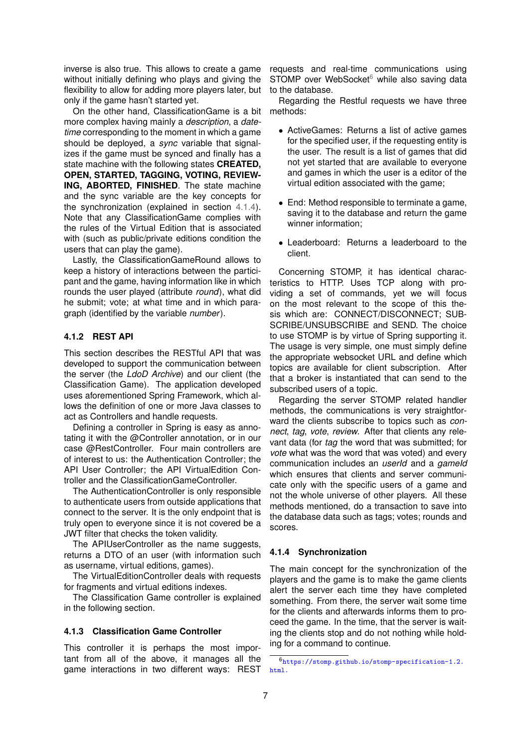inverse is also true. This allows to create a game without initially defining who plays and giving the flexibility to allow for adding more players later, but only if the game hasn't started yet.

On the other hand, ClassificationGame is a bit more complex having mainly a *description*, a *datetime* corresponding to the moment in which a game should be deployed, a *sync* variable that signalizes if the game must be synced and finally has a state machine with the following states **CREATED, OPEN, STARTED, TAGGING, VOTING, REVIEW-ING, ABORTED, FINISHED**. The state machine and the sync variable are the key concepts for the synchronization (explained in section [4.1.4\)](#page-6-0). Note that any ClassificationGame complies with the rules of the Virtual Edition that is associated with (such as public/private editions condition the users that can play the game).

Lastly, the ClassificationGameRound allows to keep a history of interactions between the participant and the game, having information like in which rounds the user played (attribute *round*), what did he submit; vote; at what time and in which paragraph (identified by the variable *number*).

## **4.1.2 REST API**

This section describes the RESTful API that was developed to support the communication between the server (the *LdoD Archive*) and our client (the Classification Game). The application developed uses aforementioned Spring Framework, which allows the definition of one or more Java classes to act as Controllers and handle requests.

Defining a controller in Spring is easy as annotating it with the @Controller annotation, or in our case @RestController. Four main controllers are of interest to us: the Authentication Controller; the API User Controller; the API VirtualEdition Controller and the ClassificationGameController.

The AuthenticationController is only responsible to authenticate users from outside applications that connect to the server. It is the only endpoint that is truly open to everyone since it is not covered be a JWT filter that checks the token validity.

The APIUserController as the name suggests, returns a DTO of an user (with information such as username, virtual editions, games).

The VirtualEditionController deals with requests for fragments and virtual editions indexes.

The Classification Game controller is explained in the following section.

## **4.1.3 Classification Game Controller**

This controller it is perhaps the most important from all of the above, it manages all the game interactions in two different ways: REST

requests and real-time communications using STOMP over WebSocket $6$  while also saving data to the database.

Regarding the Restful requests we have three methods:

- ActiveGames: Returns a list of active games for the specified user, if the requesting entity is the user. The result is a list of games that did not yet started that are available to everyone and games in which the user is a editor of the virtual edition associated with the game;
- End: Method responsible to terminate a game, saving it to the database and return the game winner information;
- Leaderboard: Returns a leaderboard to the client.

Concerning STOMP, it has identical characteristics to HTTP. Uses TCP along with providing a set of commands, yet we will focus on the most relevant to the scope of this thesis which are: CONNECT/DISCONNECT; SUB-SCRIBE/UNSUBSCRIBE and SEND. The choice to use STOMP is by virtue of Spring supporting it. The usage is very simple, one must simply define the appropriate websocket URL and define which topics are available for client subscription. After that a broker is instantiated that can send to the subscribed users of a topic.

Regarding the server STOMP related handler methods, the communications is very straightforward the clients subscribe to topics such as *connect*, *tag*, *vote*, *review*. After that clients any relevant data (for *tag* the word that was submitted; for *vote* what was the word that was voted) and every communication includes an *userId* and a *gameId* which ensures that clients and server communicate only with the specific users of a game and not the whole universe of other players. All these methods mentioned, do a transaction to save into the database data such as tags; votes; rounds and scores.

## <span id="page-6-0"></span>**4.1.4 Synchronization**

The main concept for the synchronization of the players and the game is to make the game clients alert the server each time they have completed something. From there, the server wait some time for the clients and afterwards informs them to proceed the game. In the time, that the server is waiting the clients stop and do not nothing while holding for a command to continue.

<span id="page-6-1"></span> $^6$ [https://stomp.github.io/stomp-specification-1.2.](https://stomp.github.io/stomp-specification-1.2.html.) [html.](https://stomp.github.io/stomp-specification-1.2.html.)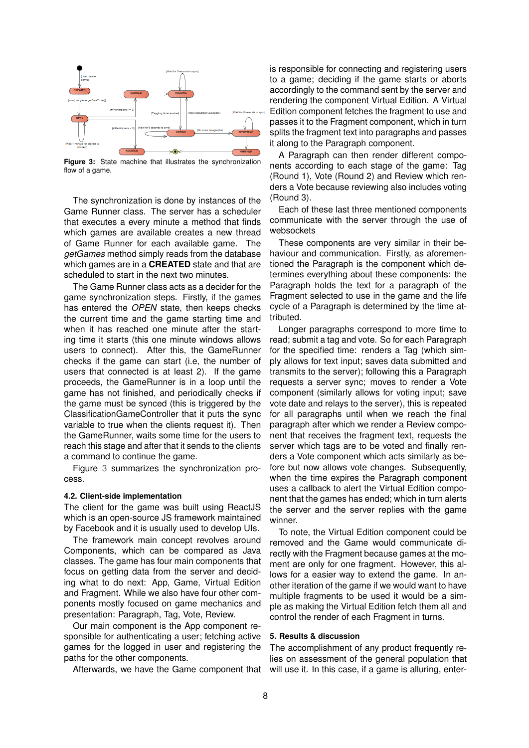<span id="page-7-0"></span>

**Figure 3:** State machine that illustrates the synchronization flow of a game.

The synchronization is done by instances of the Game Runner class. The server has a scheduler that executes a every minute a method that finds which games are available creates a new thread of Game Runner for each available game. The *getGames* method simply reads from the database which games are in a **CREATED** state and that are scheduled to start in the next two minutes.

The Game Runner class acts as a decider for the game synchronization steps. Firstly, if the games has entered the *OPEN* state, then keeps checks the current time and the game starting time and when it has reached one minute after the starting time it starts (this one minute windows allows users to connect). After this, the GameRunner checks if the game can start (i.e, the number of users that connected is at least 2). If the game proceeds, the GameRunner is in a loop until the game has not finished, and periodically checks if the game must be synced (this is triggered by the ClassificationGameController that it puts the sync variable to true when the clients request it). Then the GameRunner, waits some time for the users to reach this stage and after that it sends to the clients a command to continue the game.

Figure [3](#page-7-0) summarizes the synchronization process.

#### **4.2. Client-side implementation**

The client for the game was built using ReactJS which is an open-source JS framework maintained by Facebook and it is usually used to develop UIs.

The framework main concept revolves around Components, which can be compared as Java classes. The game has four main components that focus on getting data from the server and deciding what to do next: App, Game, Virtual Edition and Fragment. While we also have four other components mostly focused on game mechanics and presentation: Paragraph, Tag, Vote, Review.

Our main component is the App component responsible for authenticating a user; fetching active games for the logged in user and registering the paths for the other components.

Afterwards, we have the Game component that

is responsible for connecting and registering users to a game; deciding if the game starts or aborts accordingly to the command sent by the server and rendering the component Virtual Edition. A Virtual Edition component fetches the fragment to use and passes it to the Fragment component, which in turn splits the fragment text into paragraphs and passes it along to the Paragraph component.

A Paragraph can then render different components according to each stage of the game: Tag (Round 1), Vote (Round 2) and Review which renders a Vote because reviewing also includes voting (Round 3).

Each of these last three mentioned components communicate with the server through the use of websockets

These components are very similar in their behaviour and communication. Firstly, as aforementioned the Paragraph is the component which determines everything about these components: the Paragraph holds the text for a paragraph of the Fragment selected to use in the game and the life cycle of a Paragraph is determined by the time attributed.

Longer paragraphs correspond to more time to read; submit a tag and vote. So for each Paragraph for the specified time: renders a Tag (which simply allows for text input; saves data submitted and transmits to the server); following this a Paragraph requests a server sync; moves to render a Vote component (similarly allows for voting input; save vote date and relays to the server), this is repeated for all paragraphs until when we reach the final paragraph after which we render a Review component that receives the fragment text, requests the server which tags are to be voted and finally renders a Vote component which acts similarly as before but now allows vote changes. Subsequently, when the time expires the Paragraph component uses a callback to alert the Virtual Edition component that the games has ended; which in turn alerts the server and the server replies with the game winner.

To note, the Virtual Edition component could be removed and the Game would communicate directly with the Fragment because games at the moment are only for one fragment. However, this allows for a easier way to extend the game. In another iteration of the game if we would want to have multiple fragments to be used it would be a simple as making the Virtual Edition fetch them all and control the render of each Fragment in turns.

## **5. Results & discussion**

The accomplishment of any product frequently relies on assessment of the general population that will use it. In this case, if a game is alluring, enter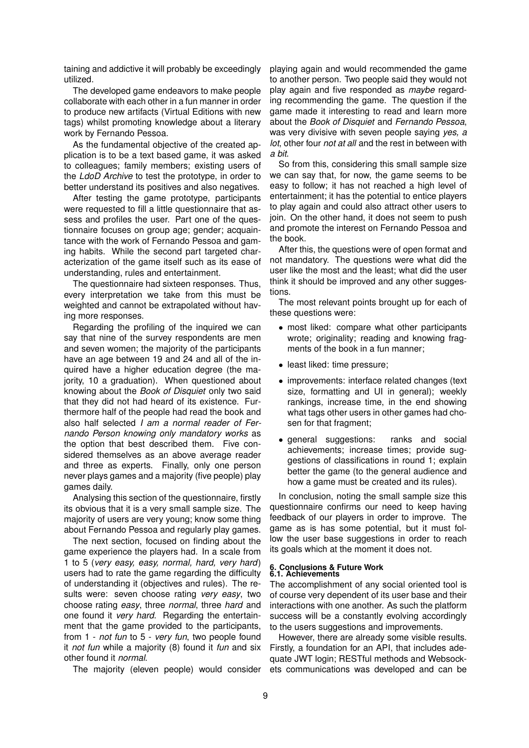taining and addictive it will probably be exceedingly utilized.

The developed game endeavors to make people collaborate with each other in a fun manner in order to produce new artifacts (Virtual Editions with new tags) whilst promoting knowledge about a literary work by Fernando Pessoa.

As the fundamental objective of the created application is to be a text based game, it was asked to colleagues; family members; existing users of the *LdoD Archive* to test the prototype, in order to better understand its positives and also negatives.

After testing the game prototype, participants were requested to fill a little questionnaire that assess and profiles the user. Part one of the questionnaire focuses on group age; gender; acquaintance with the work of Fernando Pessoa and gaming habits. While the second part targeted characterization of the game itself such as its ease of understanding, rules and entertainment.

The questionnaire had sixteen responses. Thus, every interpretation we take from this must be weighted and cannot be extrapolated without having more responses.

Regarding the profiling of the inquired we can say that nine of the survey respondents are men and seven women; the majority of the participants have an age between 19 and 24 and all of the inquired have a higher education degree (the majority, 10 a graduation). When questioned about knowing about the *Book of Disquiet* only two said that they did not had heard of its existence. Furthermore half of the people had read the book and also half selected *I am a normal reader of Fernando Person knowing only mandatory works* as the option that best described them. Five considered themselves as an above average reader and three as experts. Finally, only one person never plays games and a majority (five people) play games daily.

Analysing this section of the questionnaire, firstly its obvious that it is a very small sample size. The majority of users are very young; know some thing about Fernando Pessoa and regularly play games.

The next section, focused on finding about the game experience the players had. In a scale from 1 to 5 (*very easy, easy, normal, hard, very hard*) users had to rate the game regarding the difficulty of understanding it (objectives and rules). The results were: seven choose rating *very easy*, two choose rating *easy*, three *normal*, three *hard* and one found it *very hard*. Regarding the entertainment that the game provided to the participants, from 1 - *not fun* to 5 - *very fun*, two people found it *not fun* while a majority (8) found it *fun* and six other found it *normal*.

The majority (eleven people) would consider

playing again and would recommended the game to another person. Two people said they would not play again and five responded as *maybe* regarding recommending the game. The question if the game made it interesting to read and learn more about the *Book of Disquiet* and *Fernando Pessoa*, was very divisive with seven people saying *yes, a lot*, other four *not at all* and the rest in between with *a bit*.

So from this, considering this small sample size we can say that, for now, the game seems to be easy to follow; it has not reached a high level of entertainment; it has the potential to entice players to play again and could also attract other users to join. On the other hand, it does not seem to push and promote the interest on Fernando Pessoa and the book.

After this, the questions were of open format and not mandatory. The questions were what did the user like the most and the least; what did the user think it should be improved and any other suggestions.

The most relevant points brought up for each of these questions were:

- most liked: compare what other participants wrote; originality; reading and knowing fragments of the book in a fun manner;
- least liked: time pressure;
- improvements: interface related changes (text size, formatting and UI in general); weekly rankings, increase time, in the end showing what tags other users in other games had chosen for that fragment;
- general suggestions: ranks and social achievements; increase times; provide suggestions of classifications in round 1; explain better the game (to the general audience and how a game must be created and its rules).

In conclusion, noting the small sample size this questionnaire confirms our need to keep having feedback of our players in order to improve. The game as is has some potential, but it must follow the user base suggestions in order to reach its goals which at the moment it does not.

#### **6. Conclusions & Future Work 6.1. Achievements**

The accomplishment of any social oriented tool is of course very dependent of its user base and their interactions with one another. As such the platform success will be a constantly evolving accordingly to the users suggestions and improvements.

However, there are already some visible results. Firstly, a foundation for an API, that includes adequate JWT login; RESTful methods and Websockets communications was developed and can be